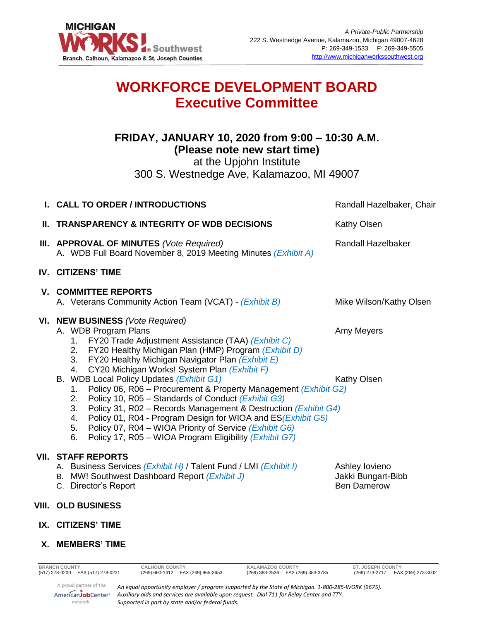

# **WORKFORCE DEVELOPMENT BOARD Executive Committee**

## **FRIDAY, JANUARY 10, 2020 from 9:00 – 10:30 A.M. (Please note new start time)**

at the Upjohn Institute

300 S. Westnedge Ave, Kalamazoo, MI 49007

| I. CALL TO ORDER / INTRODUCTIONS                                                                                                                                                                                                                                                                                                                                                                                                                                                                                                                                                                                                                                                                                                                | Randall Hazelbaker, Chair                                  |
|-------------------------------------------------------------------------------------------------------------------------------------------------------------------------------------------------------------------------------------------------------------------------------------------------------------------------------------------------------------------------------------------------------------------------------------------------------------------------------------------------------------------------------------------------------------------------------------------------------------------------------------------------------------------------------------------------------------------------------------------------|------------------------------------------------------------|
| <b>II. TRANSPARENCY &amp; INTEGRITY OF WDB DECISIONS</b>                                                                                                                                                                                                                                                                                                                                                                                                                                                                                                                                                                                                                                                                                        | <b>Kathy Olsen</b>                                         |
| III. APPROVAL OF MINUTES (Vote Required)<br>A. WDB Full Board November 8, 2019 Meeting Minutes (Exhibit A)                                                                                                                                                                                                                                                                                                                                                                                                                                                                                                                                                                                                                                      | <b>Randall Hazelbaker</b>                                  |
| IV. CITIZENS' TIME                                                                                                                                                                                                                                                                                                                                                                                                                                                                                                                                                                                                                                                                                                                              |                                                            |
| <b>V. COMMITTEE REPORTS</b><br>A. Veterans Community Action Team (VCAT) - (Exhibit B)                                                                                                                                                                                                                                                                                                                                                                                                                                                                                                                                                                                                                                                           | Mike Wilson/Kathy Olsen                                    |
| VI. NEW BUSINESS (Vote Required)<br>A. WDB Program Plans<br>1. FY20 Trade Adjustment Assistance (TAA) (Exhibit C)<br>2. FY20 Healthy Michigan Plan (HMP) Program (Exhibit D)<br>3. FY20 Healthy Michigan Navigator Plan (Exhibit E)<br>4. CY20 Michigan Works! System Plan (Exhibit F)<br>B. WDB Local Policy Updates (Exhibit G1)<br>1. Policy 06, R06 - Procurement & Property Management (Exhibit G2)<br>Policy 10, R05 - Standards of Conduct (Exhibit G3)<br>2.<br>Policy 31, R02 - Records Management & Destruction (Exhibit G4)<br>3.<br>4. Policy 01, R04 - Program Design for WIOA and ES (Exhibit G5)<br>Policy 07, R04 – WIOA Priority of Service (Exhibit G6)<br>5.<br>Policy 17, R05 - WIOA Program Eligibility (Exhibit G7)<br>6. | Amy Meyers<br>Kathy Olsen                                  |
| <b>VII. STAFF REPORTS</b><br>A. Business Services (Exhibit H) / Talent Fund / LMI (Exhibit I)<br>B. MW! Southwest Dashboard Report (Exhibit J)<br>C. Director's Report                                                                                                                                                                                                                                                                                                                                                                                                                                                                                                                                                                          | Ashley lovieno<br>Jakki Bungart-Bibb<br><b>Ben Damerow</b> |
| <b>VIII. OLD BUSINESS</b>                                                                                                                                                                                                                                                                                                                                                                                                                                                                                                                                                                                                                                                                                                                       |                                                            |

**IX. CITIZENS' TIME**

### **X. MEMBERS' TIME**

network

**BRANCH COUNTY CALHOUN COUNTY KALAMAZOO COUNTY ST. JOSEPH COUNTY** (517) 278-0200 FAX (517) 278-0221 (269) 660-1412 FAX (269) 965-3653 (269) 383-2536 FAX (269) 383-3785 (269) 273-2717 FAX (269) 273-3002